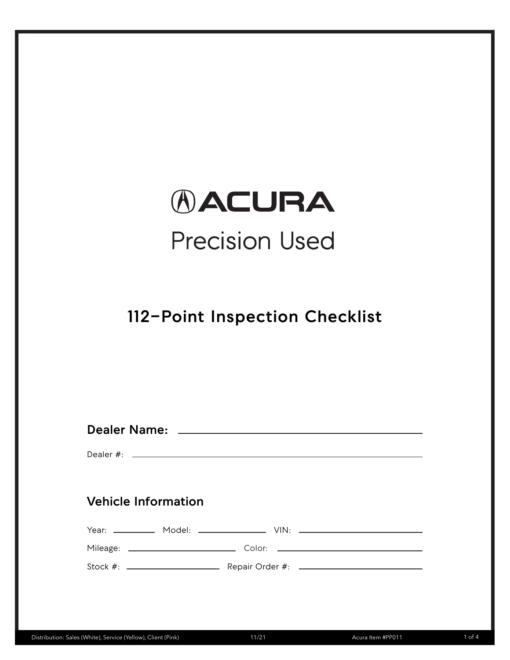# *AACURA* **Precision Used**

## **112-Point Inspection Checklist**

| <b>Vehicle Information</b> |  |
|----------------------------|--|
|                            |  |
|                            |  |
|                            |  |
|                            |  |
|                            |  |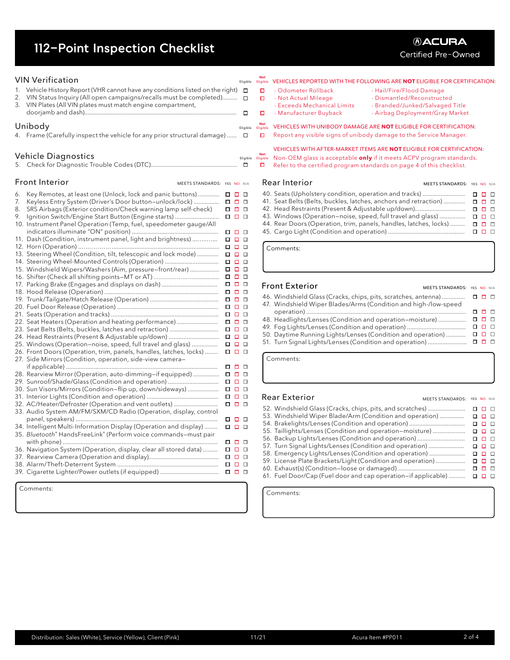## **112-Point Inspection Checklist**

 $V1 \times V_0 \times f_0 \times f_1 \times f_2 \times f_3$ 

|    | <b>VIIV VENIICALION</b>                                                     |                             |          | Eligible | Eligible               | <b>VEHICLES</b> |
|----|-----------------------------------------------------------------------------|-----------------------------|----------|----------|------------------------|-----------------|
| 1. | Vehicle History Report (VHR cannot have any conditions listed on the right) |                             |          | □        | □                      | - Odomet        |
| 2. | VIN Status Inquiry (All open campaigns/recalls must be completed)           |                             |          | $\Box$   | о                      | - Not Act       |
| 3. | VIN Plates (All VIN plates must match engine compartment,                   |                             |          |          |                        | - Exceeds       |
|    |                                                                             |                             |          | □        | □                      | - Manufa        |
|    |                                                                             |                             |          |          |                        |                 |
|    | Unibody                                                                     |                             |          | Eligible | <b>Not</b><br>Eligible | <b>VEHICLES</b> |
|    | 4. Frame (Carefully inspect the vehicle for any prior structural damage)    |                             |          | □        | □                      | Report an       |
|    |                                                                             |                             |          |          |                        |                 |
|    |                                                                             |                             |          |          |                        | <b>VEHICLES</b> |
|    | <b>Vehicle Diagnostics</b>                                                  |                             |          | Eligible | <b>Not</b>             | Non-OEM         |
|    |                                                                             |                             |          | □        | Eligible<br>□          | Refer to tl     |
|    |                                                                             |                             |          |          |                        |                 |
|    |                                                                             |                             |          |          |                        |                 |
|    | <b>Front Interior</b>                                                       | MEETS STANDARDS: YES NO N/A |          |          |                        | Rear Inter      |
| 6. | Key Remotes, at least one (Unlock, lock and panic buttons)                  |                             | 00 O     |          |                        | 40. Seats (Up   |
| 7. |                                                                             |                             |          |          |                        | 41. Seat Belt   |
|    | Keyless Entry System (Driver's Door button-unlock/lock)                     |                             | 88 8 8   |          |                        |                 |
| 8. | SRS Airbags (Exterior condition/Check warning lamp self-check)              |                             | 88 B B   |          |                        | 42. Head Res    |
| 9. | Ignition Switch/Engine Start Button (Engine starts)                         |                             | 88 B B   |          |                        | 43. Windows     |
|    | 10. Instrument Panel Operation (Temp, fuel, speedometer gauge/All           |                             |          |          |                        | 44. Rear Doc    |
|    |                                                                             |                             | 0 O O    |          |                        | 45. Cargo Lig   |
|    | 11. Dash (Condition, instrument panel, light and brightness)                |                             | 0 O O    |          |                        |                 |
|    |                                                                             |                             | 0 O O    |          |                        | Comments:       |
|    | 13. Steering Wheel (Condition, tilt, telescopic and lock mode)              |                             | <b>.</b> |          |                        |                 |
|    | 14. Steering Wheel-Mounted Controls (Operation)                             |                             | 00 O     |          |                        |                 |
|    |                                                                             |                             |          |          |                        |                 |
|    | 15. Windshield Wipers/Washers (Aim, pressure–front/rear)                    |                             | 0 O O    |          |                        |                 |
|    | 16. Shifter (Check all shifting points–MT or AT)                            |                             | 00 O     |          |                        |                 |
|    | 17. Parking Brake (Engages and displays on dash)                            |                             | 00 O     |          |                        | Front Ext       |
|    |                                                                             |                             | 00 O     |          |                        | 46. Windshie    |
|    |                                                                             |                             | 00 O     |          |                        |                 |
|    |                                                                             |                             | 0 O O    |          |                        | 47. Windshie    |
|    |                                                                             |                             | 88 B B   |          |                        | operatio        |
|    | 22. Seat Heaters (Operation and heating performance)                        |                             | 88 B B   |          |                        | 48. Headligh    |
|    | 23. Seat Belts (Belts, buckles, latches and retraction)                     |                             | 000      |          |                        | 49. Fog Ligh    |
|    | 24. Head Restraints (Present & Adjustable up/down)                          |                             | 000      |          |                        | 50. Daytime     |
|    | 25. Windows (Operation–noise, speed, full travel and glass)                 |                             | 00 O     |          |                        | 51. Turn Sigr   |
|    |                                                                             |                             | 000      |          |                        |                 |
|    | 26. Front Doors (Operation, trim, panels, handles, latches, locks)          |                             |          |          |                        |                 |
|    | 27. Side Mirrors (Condition, operation, side-view camera-                   |                             |          |          |                        | Comments:       |
|    |                                                                             |                             | 0 O O    |          |                        |                 |
|    | 28. Rearview Mirror (Operation, auto-dimming-if equipped)                   |                             | 88 B B   |          |                        |                 |
|    | 29. Sunroof/Shade/Glass (Condition and operation)                           |                             | 000      |          |                        |                 |
|    | 30. Sun Visors/Mirrors (Condition–flip up, down/sideways)                   |                             | 00 O     |          |                        |                 |
|    |                                                                             |                             | 0 O O    |          |                        | Rear Exte       |
|    | 32. AC/Heater/Defroster (Operation and vent outlets)                        |                             | 000      |          |                        |                 |
|    | 33. Audio System AM/FM/SXM/CD Radio (Operation, display, control            |                             |          |          |                        | 52. Windshie    |
|    |                                                                             |                             | 0 O O    |          |                        | 53. Windshie    |
|    |                                                                             |                             |          |          |                        | 54. Brakeligł   |
|    | 34. Intelligent Multi-Information Display (Operation and display)           |                             | .        |          |                        | 55. Taillights  |
|    | 35. Bluetooth® HandsFreeLink® (Perform voice commands–must pair             |                             |          |          |                        | 56. Backup L    |
|    |                                                                             |                             | 0 O O    |          |                        | 57. Turn Sigr   |
|    | 36. Navigation System (Operation, display, clear all stored data)           |                             | .        |          |                        | 58. Emergen     |
|    |                                                                             |                             | 00 O     |          |                        | 59. License F   |
|    |                                                                             |                             | .        |          |                        |                 |
|    |                                                                             |                             | 00 O     |          |                        | 60. Exhaust(    |
|    |                                                                             |                             |          |          |                        | 61. Fuel Doc    |

Comments:



41. Seat Belts (Belts, buckles, latches, anchors and retraction) ............. 42. Head Restraints (Present & Adjustable up/down)............................... 43. Windows (Operation—noise, speed, full travel and glass) ................ 44. Rear Doors (Operation, trim, panels, handles, latches, locks) ......... 45. Cargo Light (Condition and operation) ...............................................

#### erior

#### MEETS STANDARDS: YES NO N/A  $n n n$

| 46. Windshield Glass (Cracks, chips, pits, scratches, antenna)<br>47. Windshield Wiper Blades/Arms (Condition and high-/low-speed |        | . . |
|-----------------------------------------------------------------------------------------------------------------------------------|--------|-----|
|                                                                                                                                   | 8 8 8  |     |
| 48. Headlights/Lenses (Condition and operation–moisture)                                                                          | .      |     |
| 49. Fog Lights/Lenses (Condition and operation)                                                                                   | .      |     |
| 50. Daytime Running Lights/Lenses (Condition and operation)                                                                       | .      |     |
| 51. Turn Signal Lights/Lenses (Condition and operation)                                                                           | 88 B B |     |

#### rior!

| KEAL LALEITUI                                                 | MEETS STANDARDS: YES NO N/A |    |        |  |
|---------------------------------------------------------------|-----------------------------|----|--------|--|
| 52. Windshield Glass (Cracks, chips, pits, and scratches)     |                             |    | 8 8 8  |  |
| 53. Windshield Wiper Blade/Arm (Condition and operation)      |                             | п. | $\Box$ |  |
| 54. Brakelights/Lenses (Condition and operation)              |                             |    | 88 B B |  |
| 55. Taillights/Lenses (Condition and operation-moisture)      |                             |    | 8 8 8  |  |
| 56. Backup Lights/Lenses (Condition and operation)            |                             |    | 0 D D  |  |
| 57. Turn Signal Lights/Lenses (Condition and operation)       |                             |    | 00 O   |  |
| 58. Emergency Lights/Lenses (Condition and operation)         |                             |    | 8 8 8  |  |
| 59. License Plate Brackets/Light (Condition and operation)    |                             |    | 88 B B |  |
|                                                               |                             |    | 8 8 8  |  |
| 61. Fuel Door/Cap (Fuel door and cap operation-if applicable) |                             |    | n n n  |  |
|                                                               |                             |    |        |  |

Comments:

### *®ACURA* Certified Pre-Owned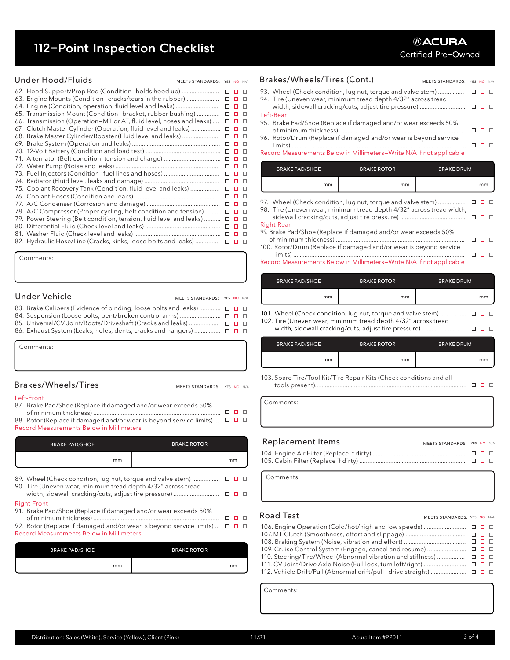### **112-Point Inspection Checklist**

| 62. Hood Support/Prop Rod (Condition–holds hood up)                 | □ | 0 O           |        |
|---------------------------------------------------------------------|---|---------------|--------|
| 63. Engine Mounts (Condition-cracks/tears in the rubber)            | □ |               | D      |
| 64. Engine (Condition, operation, fluid level and leaks)            | □ | o             | □      |
| 65. Transmission Mount (Condition-bracket, rubber bushing)          | □ | □             | □      |
| 66. Transmission (Operation-MT or AT, fluid level, hoses and leaks) | □ | $\Box$ $\Box$ |        |
| 67. Clutch Master Cylinder (Operation, fluid level and leaks)       | □ | $\Box$        | $\Box$ |
| 68. Brake Master Cylinder/Booster (Fluid level and leaks)           | □ |               | □      |
|                                                                     | □ | п             | л      |
|                                                                     | □ | п             | D      |
| 71. Alternator (Belt condition, tension and charge)                 | □ |               | □      |
|                                                                     | □ | $\Box$        |        |
|                                                                     | □ | □□            |        |
|                                                                     | □ | □□            |        |
| 75. Coolant Recovery Tank (Condition, fluid level and leaks)        | □ | 0 D           |        |
|                                                                     | □ | o             | D      |
|                                                                     | □ |               | $\Box$ |
| 78. A/C Compressor (Proper cycling, belt condition and tension)     | □ | $\Box$ $\Box$ |        |
| 79. Power Steering (Belt condition, tension, fluid level and leaks) | □ |               | $\Box$ |
|                                                                     | □ | □             | □      |
|                                                                     | □ | □             | D      |
| 82. Hydraulic Hose/Line (Cracks, kinks, loose bolts and leaks)      |   | <b>.</b>      |        |

Comments:

### Under Vehicle

#### 83. Brake Calipers (Evidence of binding, loose bolts and leaks) ..............  $\Box$   $\Box$ 84. Suspension (Loose bolts, bent/broken control arms) ......................... 85. Universal/CV Joint/Boots/Driveshaft (Cracks and leaks) ...................... □ □ □ 86. Exhaust System (Leaks, holes, dents, cracks and hangers) .................  $\Box$   $\Box$

| Comments: |  |  |
|-----------|--|--|
|           |  |  |
|           |  |  |

#### Brakes/Wheels/Tires

MEETS STANDARDS: YES NO N/A

MEETS STANDARDS: YES NO N/A

| Left-Front                                                                               |    |        |
|------------------------------------------------------------------------------------------|----|--------|
| 87. Brake Pad/Shoe (Replace if damaged and/or wear exceeds 50%                           |    |        |
|                                                                                          | п. | $\Box$ |
| 88. Rotor (Replace if damaged and/or wear is beyond service limits) $\Box$ $\Box$ $\Box$ |    |        |
| Record Measurements Below in Millimeters                                                 |    |        |

| <b>BRAKE ROTOR</b><br><b>BRAKE PAD/SHOE</b>                                                                                  |                    |                      |  |
|------------------------------------------------------------------------------------------------------------------------------|--------------------|----------------------|--|
| mm                                                                                                                           |                    | mm                   |  |
| 89. Wheel (Check condition, lug nut, torque and valve stem)<br>90. Tire (Uneven wear, minimum tread depth 4/32" across tread |                    | 0 D                  |  |
| width, sidewall cracking/cuts, adjust tire pressure)                                                                         |                    | $\Box$ $\Box$ $\Box$ |  |
| <b>Right-Front</b><br>91. Brake Pad/Shoe (Replace if damaged and/or wear exceeds 50%                                         |                    |                      |  |
| 92. Rotor (Replace if damaged and/or wear is beyond service limits)<br><b>Record Measurements Below in Millimeters</b>       |                    | $\Box$ $\Box$ $\Box$ |  |
| <b>BRAKE PAD/SHOE</b>                                                                                                        | <b>BRAKE ROTOR</b> |                      |  |

| <b>BRAKE PAD/SHOE</b> | <b>BRAKE ROTOR</b> |
|-----------------------|--------------------|
| mm                    | mm                 |

Under Hood/Fluids MEETS STANDARDS: YES NO N/A Brakes/Wheels/Tires (Cont.) MEETS STANDARDS: YES NO N/A

#### 93. Wheel (Check condition, lug nut, torque and valve stem) ................ 94. Tire (Uneven wear, minimum tread depth 4/32" across tread

- width, sidewall cracking/cuts, adjust tire pressure) ............................ Left-Rear 95. Brake Pad/Shoe (Replace if damaged and/or wear exceeds 50%
- of minimum thickness) ............................................................................. 96. Rotor/Drum (Replace if damaged and/or wear is beyond service
- limits) ........................................................................................................... Record Measurements Below in Millimeters—Write N/A if not applicable

| <b>BRAKE PAD/SHOE</b> | <b>BRAKE ROTOR</b> | <b>BRAKE DRUM</b> |
|-----------------------|--------------------|-------------------|
| mm                    | mm                 | mm                |

97. Wheel (Check condition, lug nut, torque and valve stem) .................  $\begin{array}{c} \square \quad \square \quad \square \end{array}$ 98. Tire (Uneven wear, minimum tread depth 4/32" across tread width, sidewall cracking/cuts, adjust tire pressure) ........................................

#### Right-Rear

- 99. Brake Pad/Shoe (Replace if damaged and/or wear exceeds 50% of minimum thickness) ...............................................................................  $\Box$   $\Box$   $\Box$
- 100. Rotor/Drum (Replace if damaged and/or wear is beyond service limits) .........................................................................................................  $\Box$   $\Box$   $\Box$

Record Measurements Below in Millimeters—Write N/A if not applicable

| mm<br>mm | mm |
|----------|----|

- 101. Wheel (Check condition, lug nut, torque and valve stem) ..................  $\Box$   $\Box$ 102. Tire (Uneven wear, minimum tread depth 4/32" across tread
	- width, sidewall cracking/cuts, adjust tire pressure) ...........................

| <b>BRAKE PAD/SHOE</b> | <b>BRAKE ROTOR</b> | <b>BRAKE DRUM</b> |
|-----------------------|--------------------|-------------------|
| mm                    | mm                 | mm                |

103. Spare Tire/Tool Kit/Tire Repair Kits (Check conditions and all tools present).............................................................................................

Comments:

#### Replacement Items

| 105. Cabin Filter (Replace if dirty) …………………………………………………………… ロロロ |  |  |
|------------------------------------------------------------------|--|--|

Comments:

#### Road Test

### MEETS STANDARDS: YES NO N/A

MEETS STANDARDS: YES NO N/A

| 109. Cruise Control System (Engage, cancel and resume)  □ □ □               |  |  |
|-----------------------------------------------------------------------------|--|--|
| 110. Steering/Tire/Wheel (Abnormal vibration and stiffness)   ロ ロ ロ         |  |  |
| 111. CV Joint/Drive Axle Noise (Full lock, turn left/right)………………………… □ □ □ |  |  |
| 112. Vehicle Drift/Pull (Abnormal drift/pull–drive straight)  □ □ □         |  |  |

Comments: